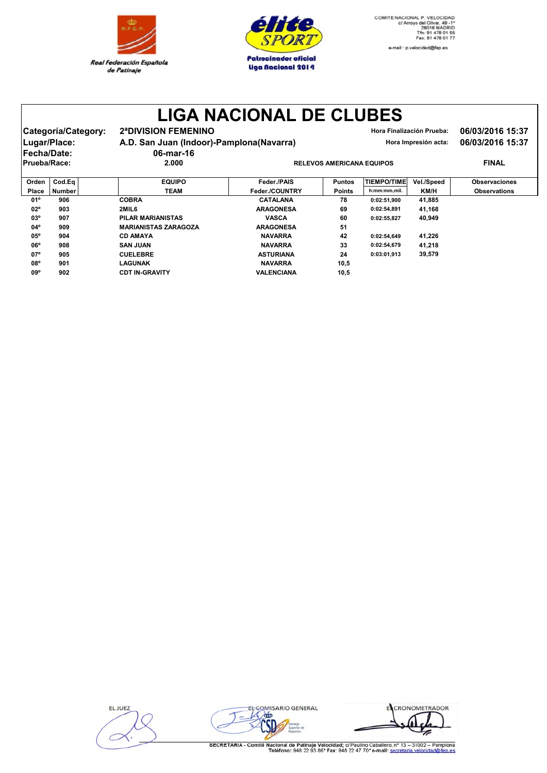



e-mail:: p.velocidad@fep.es

## **LIGA NACIONAL DE CLUBES**

| Categoría/Category: | <b>2ªDIVISION FEMENINO</b>               | Hora Finalización Prueba:        | 06/03/2016 15:37 |
|---------------------|------------------------------------------|----------------------------------|------------------|
| Lugar/Place:        | A.D. San Juan (Indoor)-Pamplona(Navarra) | Hora Impresión acta:             | 06/03/2016 15:37 |
| <b>IFecha/Date:</b> | 06-mar-16                                |                                  |                  |
| Prueba/Race:        | 2.000                                    | <b>RELEVOS AMERICANA EQUIPOS</b> | <b>FINAL</b>     |
|                     |                                          |                                  |                  |

| Orden        | Cod.Ea        | <b>EQUIPO</b>               | Feder./PAIS       | <b>Puntos</b> | <b>TIEMPO/TIME</b> | Vel./Speed | <b>Observaciones</b> |
|--------------|---------------|-----------------------------|-------------------|---------------|--------------------|------------|----------------------|
| <b>Place</b> | <b>Number</b> | <b>TEAM</b>                 | Feder./COUNTRY    | <b>Points</b> | h:mm:mm,mil.       | KM/H       | <b>Observations</b>  |
| 01°          | 906           | <b>COBRA</b>                | <b>CATALANA</b>   | 78            | 0:02:51.900        | 41.885     |                      |
| $02^{\circ}$ | 903           | 2MIL6                       | <b>ARAGONESA</b>  | 69            | 0:02:54.891        | 41.168     |                      |
| $03^{\circ}$ | 907           | <b>PILAR MARIANISTAS</b>    | <b>VASCA</b>      | 60            | 0:02:55.827        | 40,949     |                      |
| $04^{\circ}$ | 909           | <b>MARIANISTAS ZARAGOZA</b> | <b>ARAGONESA</b>  | 51            |                    |            |                      |
| $05^{\circ}$ | 904           | <b>CD AMAYA</b>             | <b>NAVARRA</b>    | 42            | 0:02:54.649        | 41.226     |                      |
| $06^{\circ}$ | 908           | <b>SAN JUAN</b>             | <b>NAVARRA</b>    | 33            | 0:02:54.679        | 41.218     |                      |
| 07°          | 905           | <b>CUELEBRE</b>             | <b>ASTURIANA</b>  | 24            | 0:03:01.913        | 39,579     |                      |
| <b>08°</b>   | 901           | <b>LAGUNAK</b>              | <b>NAVARRA</b>    | 10,5          |                    |            |                      |
| 09°          | 902           | <b>CDT IN-GRAVITY</b>       | <b>VALENCIANA</b> | 10,5          |                    |            |                      |

**ELJUEZ** 



ECRONOMETRADOR ⋝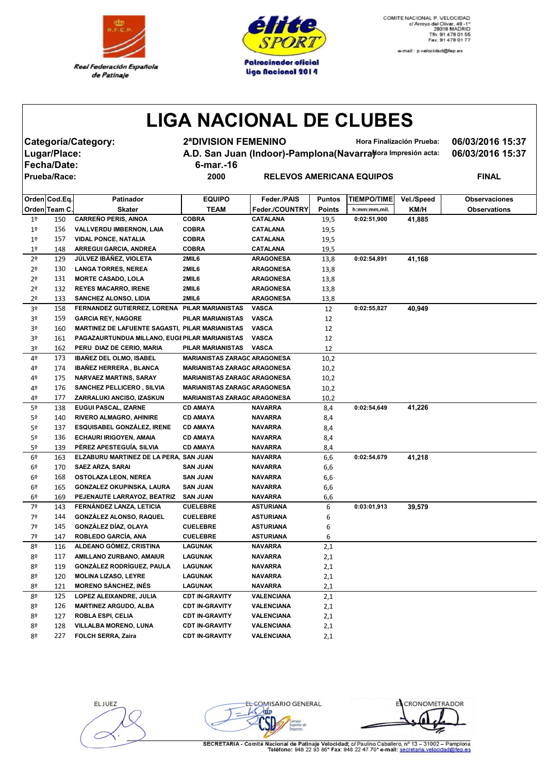



e-mail:: p.velocidad@fep.es

## **LIGA NACIONAL DE CLUBES**

**Fecha/Date: 6-mar.-16**

**Categoría/Category: 2ªDIVISION FEMENINO Hora Finalización Prueba: 06/03/2016 15:37** Lugar/Place: **A.D. San Juan (Indoor)-Pamplona(Navarra) Mora Impresión acta:** 06/03/2016 15:37

## $R$  **PRIECANA EQUIPOS PINAL**

|                | Orden Cod.Eq. | Patinador                                       | <b>EQUIPO</b>                       | Feder./PAIS       | <b>Puntos</b> | <b>TIEMPO/TIME </b> | Vel./Speed | <b>Observaciones</b> |
|----------------|---------------|-------------------------------------------------|-------------------------------------|-------------------|---------------|---------------------|------------|----------------------|
|                | Orden Team C. | <b>Skater</b>                                   | <b>TEAM</b>                         | Feder./COUNTRY    | Points        | h:mm:mm,mil.        | KM/H       | <b>Observations</b>  |
| 1 <sup>°</sup> | 150           | <b>CARREÑO PERIS, AINOA</b>                     | <b>COBRA</b>                        | <b>CATALANA</b>   | 19,5          | 0:02:51,900         | 41,885     |                      |
| 1 <sup>°</sup> | 156           | VALLVERDU IMBERNON, LAIA                        | <b>COBRA</b>                        | CATALANA          | 19,5          |                     |            |                      |
| 1 <sup>°</sup> | 157           | <b>VIDAL PONCE, NATALIA</b>                     | <b>COBRA</b>                        | CATALANA          | 19,5          |                     |            |                      |
| 1 <sup>°</sup> | 148           | ARREGUI GARCIA, ANDREA                          | <b>COBRA</b>                        | <b>CATALANA</b>   | 19,5          |                     |            |                      |
| 2 <sup>o</sup> | 129           | JÚLVEZ IBÁÑEZ, VIOLETA                          | 2MIL6                               | <b>ARAGONESA</b>  | 13,8          | 0:02:54,891         | 41,168     |                      |
| 2 <sup>o</sup> | 130           | <b>LANGA TORRES, NEREA</b>                      | 2MIL6                               | <b>ARAGONESA</b>  | 13,8          |                     |            |                      |
| 2º             | 131           | <b>MORTE CASADO, LOLA</b>                       | 2MIL6                               | <b>ARAGONESA</b>  | 13,8          |                     |            |                      |
| 2 <sup>o</sup> | 132           | <b>REYES MACARRO, IRENE</b>                     | 2MIL6                               | <b>ARAGONESA</b>  | 13,8          |                     |            |                      |
| 2º             | 133           | SANCHEZ ALONSO, LIDIA                           | 2MIL6                               | <b>ARAGONESA</b>  | 13,8          |                     |            |                      |
| 3º             | 158           | FERNANDEZ GUTIERREZ, LORENA PILAR MARIANISTAS   |                                     | <b>VASCA</b>      | 12            | 0:02:55,827         | 40,949     |                      |
| 3º             | 159           | <b>GARCIA REY, NAGORE</b>                       | PILAR MARIANISTAS                   | <b>VASCA</b>      | 12            |                     |            |                      |
| 3º             | 160           | MARTINEZ DE LAFUENTE SAGASTI, PILAR MARIANISTAS |                                     | <b>VASCA</b>      | 12            |                     |            |                      |
| 30             | 161           | PAGAZAURTUNDUA MILLANO, EUGI PILAR MARIANISTAS  |                                     | <b>VASCA</b>      | 12            |                     |            |                      |
| 3º             | 162           | PERU DIAZ DE CERIO, MARIA                       | PILAR MARIANISTAS                   | <b>VASCA</b>      | 12            |                     |            |                      |
| 4º             | 173           | <b>IBAÑEZ DEL OLMO, ISABEL</b>                  | <b>MARIANISTAS ZARAGO ARAGONESA</b> |                   | 10,2          |                     |            |                      |
| 4º             | 174           | <b>IBAÑEZ HERRERA, BLANCA</b>                   | <b>MARIANISTAS ZARAGO ARAGONESA</b> |                   | 10,2          |                     |            |                      |
| 4º             | 175           | <b>NARVAEZ MARTINS, SARAY</b>                   | <b>MARIANISTAS ZARAGO ARAGONESA</b> |                   | 10,2          |                     |            |                      |
| 4º             | 176           | SANCHEZ PELLICERO, SILVIA                       | <b>MARIANISTAS ZARAGO ARAGONESA</b> |                   | 10,2          |                     |            |                      |
| 4º             | 177           | ZARRALUKI ANCISO, IZASKUN                       | <b>MARIANISTAS ZARAGO ARAGONESA</b> |                   | 10,2          |                     |            |                      |
| 5º             | 138           | EUGUI PASCAL, IZARNE                            | <b>CD AMAYA</b>                     | <b>NAVARRA</b>    | 8,4           | 0:02:54,649         | 41,226     |                      |
| 5º             | 140           | <b>RIVERO ALMAGRO, AHINIRE</b>                  | <b>CD AMAYA</b>                     | <b>NAVARRA</b>    | 8,4           |                     |            |                      |
| 5º             | 137           | <b>ESQUISABEL GONZALEZ, IRENE</b>               | <b>CD AMAYA</b>                     | <b>NAVARRA</b>    | 8,4           |                     |            |                      |
| 5º             | 136           | ECHAURI IRIGOYEN, AMAIA                         | <b>CD AMAYA</b>                     | <b>NAVARRA</b>    | 8,4           |                     |            |                      |
| 5º             | 139           | PÉREZ APESTEGUÍA, SILVIA                        | <b>CD AMAYA</b>                     | <b>NAVARRA</b>    | 8,4           |                     |            |                      |
| 6º             | 163           | ELZABURU MARTINEZ DE LA PERA, SAN JUAN          |                                     | <b>NAVARRA</b>    | 6,6           | 0:02:54,679         | 41,218     |                      |
| 6º             | 170           | <b>SAEZ ARZA, SARAI</b>                         | <b>SAN JUAN</b>                     | <b>NAVARRA</b>    | 6,6           |                     |            |                      |
| 6º             | 168           | <b>OSTOLAZA LEON, NEREA</b>                     | <b>SAN JUAN</b>                     | <b>NAVARRA</b>    | 6,6           |                     |            |                      |
| 6º             | 165           | GONZALEZ OKUPINSKA, LAURA                       | <b>SAN JUAN</b>                     | <b>NAVARRA</b>    | 6,6           |                     |            |                      |
| 6º             | 169           | PEJENAUTE LARRAYOZ, BEATRIZ                     | <b>SAN JUAN</b>                     | <b>NAVARRA</b>    | 6,6           |                     |            |                      |
| 7º             | 143           | FERNÁNDEZ LANZA, LETICIA                        | <b>CUELEBRE</b>                     | ASTURIANA         | 6             | 0:03:01,913         | 39,579     |                      |
| 7º             | 144           | <b>GONZÁLEZ ALONSO, RAQUEL</b>                  | <b>CUELEBRE</b>                     | <b>ASTURIANA</b>  | 6             |                     |            |                      |
| 7º             | 145           | GONZÁLEZ DÍAZ, OLAYA                            | <b>CUELEBRE</b>                     | <b>ASTURIANA</b>  | 6             |                     |            |                      |
| 7º             | 147           | ROBLEDO GARCÍA, ANA                             | <b>CUELEBRE</b>                     | ASTURIANA         | 6             |                     |            |                      |
| 8º             | 116           | ALDEANO GÓMEZ, CRISTINA                         | LAGUNAK                             | <b>NAVARRA</b>    | 2,1           |                     |            |                      |
| 8º             | 117           | AMILLANO ZURBANO, AMAIUR                        | LAGUNAK                             | <b>NAVARRA</b>    | 2,1           |                     |            |                      |
| 8º             | 119           | GONZÁLEZ RODRÍGUEZ, PAULA                       | LAGUNAK                             | <b>NAVARRA</b>    | 2,1           |                     |            |                      |
| 8º             | 120           | <b>MOLINA LIZASO, LEYRE</b>                     | LAGUNAK                             | <b>NAVARRA</b>    | 2,1           |                     |            |                      |
| 8º             | 121           | <b>MORENO SÁNCHEZ, INÉS</b>                     | LAGUNAK                             | <b>NAVARRA</b>    | 2,1           |                     |            |                      |
| 8º             | 125           | LOPEZ ALEIXANDRE, JULIA                         | <b>CDT IN-GRAVITY</b>               | VALENCIANA        | 2,1           |                     |            |                      |
| 8º             | 126           | <b>MARTINEZ ARGUDO, ALBA</b>                    | <b>CDT IN-GRAVITY</b>               | <b>VALENCIANA</b> | 2,1           |                     |            |                      |
| 80             | 127           | <b>ROBLA ESPI, CELIA</b>                        | <b>CDT IN-GRAVITY</b>               | <b>VALENCIANA</b> | 2,1           |                     |            |                      |
| 8º             | 128           | VILLALBA MORENO, LUNA                           | <b>CDT IN-GRAVITY</b>               | VALENCIANA        | 2,1           |                     |            |                      |
| 8º             | 227           | <b>FOLCH SERRA, Zaira</b>                       | <b>CDT IN-GRAVITY</b>               | <b>VALENCIANA</b> | 2,1           |                     |            |                      |

EL JUEZ

EL COMISARIO GENERAL  $L$  orin i de

ECRONOMETRADOR z

SECRETARIA - Comité Nacional de Patinaje Velocidad; c/ Paulino Caballero, nº 13 - 31002 - Pamplona<br>Teléfono: 948 22 93 86\* Fax: 948 22 47 70\* e-mail: secretaria velocidad@fen.es